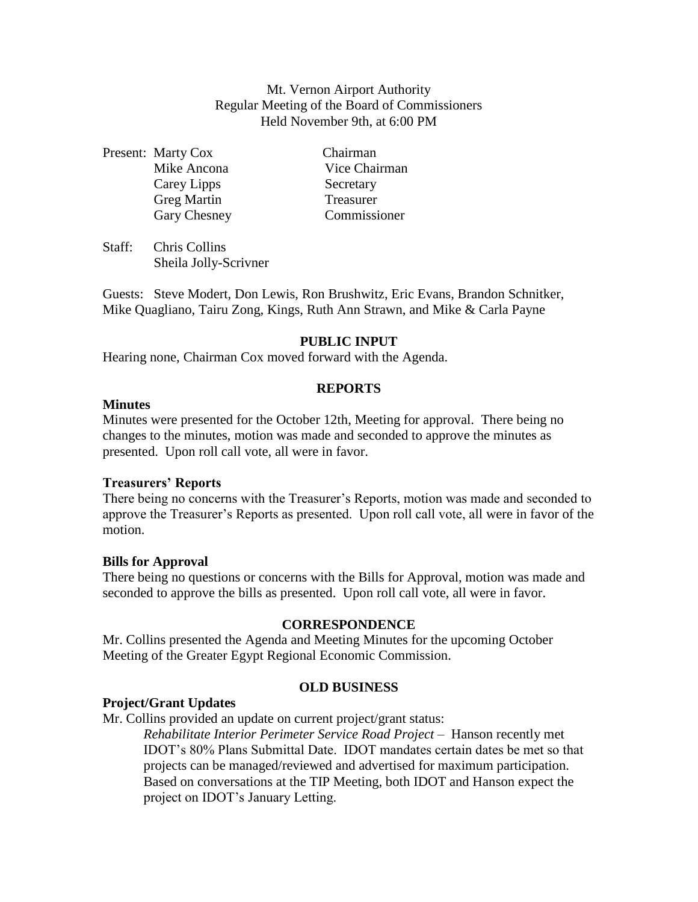Mt. Vernon Airport Authority Regular Meeting of the Board of Commissioners Held November 9th, at 6:00 PM

Present: Marty Cox Chairman Carey Lipps Secretary Greg Martin Treasurer

Mike Ancona Vice Chairman Gary Chesney Commissioner

Staff: Chris Collins Sheila Jolly-Scrivner

Guests: Steve Modert, Don Lewis, Ron Brushwitz, Eric Evans, Brandon Schnitker, Mike Quagliano, Tairu Zong, Kings, Ruth Ann Strawn, and Mike & Carla Payne

# **PUBLIC INPUT**

Hearing none, Chairman Cox moved forward with the Agenda.

## **REPORTS**

### **Minutes**

Minutes were presented for the October 12th, Meeting for approval. There being no changes to the minutes, motion was made and seconded to approve the minutes as presented. Upon roll call vote, all were in favor.

## **Treasurers' Reports**

There being no concerns with the Treasurer's Reports, motion was made and seconded to approve the Treasurer's Reports as presented. Upon roll call vote, all were in favor of the motion.

### **Bills for Approval**

There being no questions or concerns with the Bills for Approval, motion was made and seconded to approve the bills as presented. Upon roll call vote, all were in favor.

### **CORRESPONDENCE**

Mr. Collins presented the Agenda and Meeting Minutes for the upcoming October Meeting of the Greater Egypt Regional Economic Commission.

## **OLD BUSINESS**

## **Project/Grant Updates**

Mr. Collins provided an update on current project/grant status:

*Rehabilitate Interior Perimeter Service Road Project* – Hanson recently met IDOT's 80% Plans Submittal Date. IDOT mandates certain dates be met so that projects can be managed/reviewed and advertised for maximum participation. Based on conversations at the TIP Meeting, both IDOT and Hanson expect the project on IDOT's January Letting.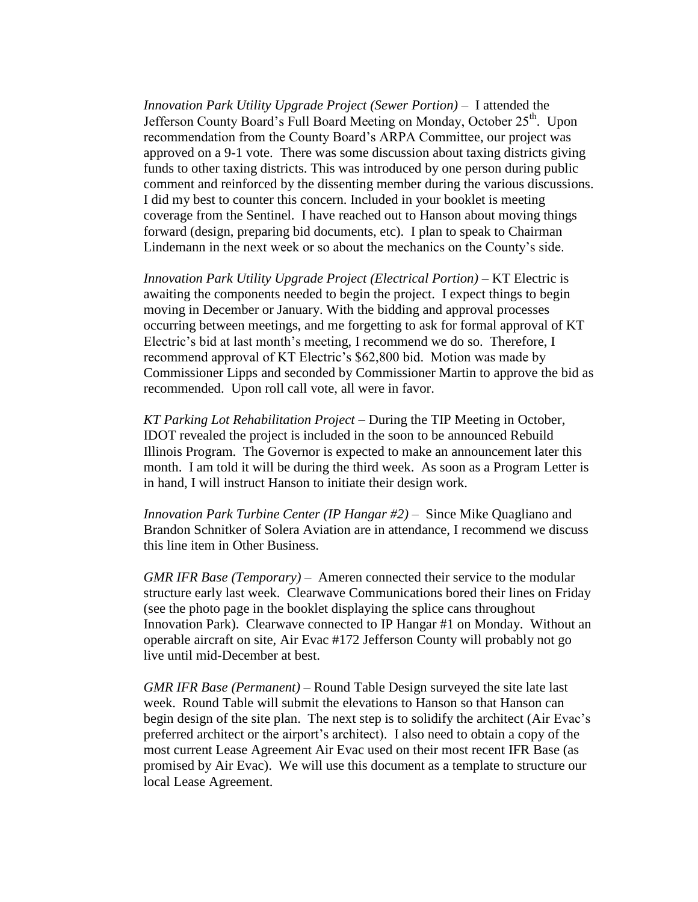*Innovation Park Utility Upgrade Project (Sewer Portion) –* I attended the Jefferson County Board's Full Board Meeting on Monday, October 25<sup>th</sup>. Upon recommendation from the County Board's ARPA Committee, our project was approved on a 9-1 vote. There was some discussion about taxing districts giving funds to other taxing districts. This was introduced by one person during public comment and reinforced by the dissenting member during the various discussions. I did my best to counter this concern. Included in your booklet is meeting coverage from the Sentinel. I have reached out to Hanson about moving things forward (design, preparing bid documents, etc). I plan to speak to Chairman Lindemann in the next week or so about the mechanics on the County's side.

*Innovation Park Utility Upgrade Project (Electrical Portion) –* KT Electric is awaiting the components needed to begin the project. I expect things to begin moving in December or January. With the bidding and approval processes occurring between meetings, and me forgetting to ask for formal approval of KT Electric's bid at last month's meeting, I recommend we do so. Therefore, I recommend approval of KT Electric's \$62,800 bid. Motion was made by Commissioner Lipps and seconded by Commissioner Martin to approve the bid as recommended. Upon roll call vote, all were in favor.

*KT Parking Lot Rehabilitation Project –* During the TIP Meeting in October, IDOT revealed the project is included in the soon to be announced Rebuild Illinois Program. The Governor is expected to make an announcement later this month. I am told it will be during the third week. As soon as a Program Letter is in hand, I will instruct Hanson to initiate their design work.

*Innovation Park Turbine Center (IP Hangar #2)* – Since Mike Quagliano and Brandon Schnitker of Solera Aviation are in attendance, I recommend we discuss this line item in Other Business.

*GMR IFR Base (Temporary)* – Ameren connected their service to the modular structure early last week. Clearwave Communications bored their lines on Friday (see the photo page in the booklet displaying the splice cans throughout Innovation Park). Clearwave connected to IP Hangar #1 on Monday. Without an operable aircraft on site, Air Evac #172 Jefferson County will probably not go live until mid-December at best.

*GMR IFR Base (Permanent) –* Round Table Design surveyed the site late last week. Round Table will submit the elevations to Hanson so that Hanson can begin design of the site plan. The next step is to solidify the architect (Air Evac's preferred architect or the airport's architect). I also need to obtain a copy of the most current Lease Agreement Air Evac used on their most recent IFR Base (as promised by Air Evac). We will use this document as a template to structure our local Lease Agreement.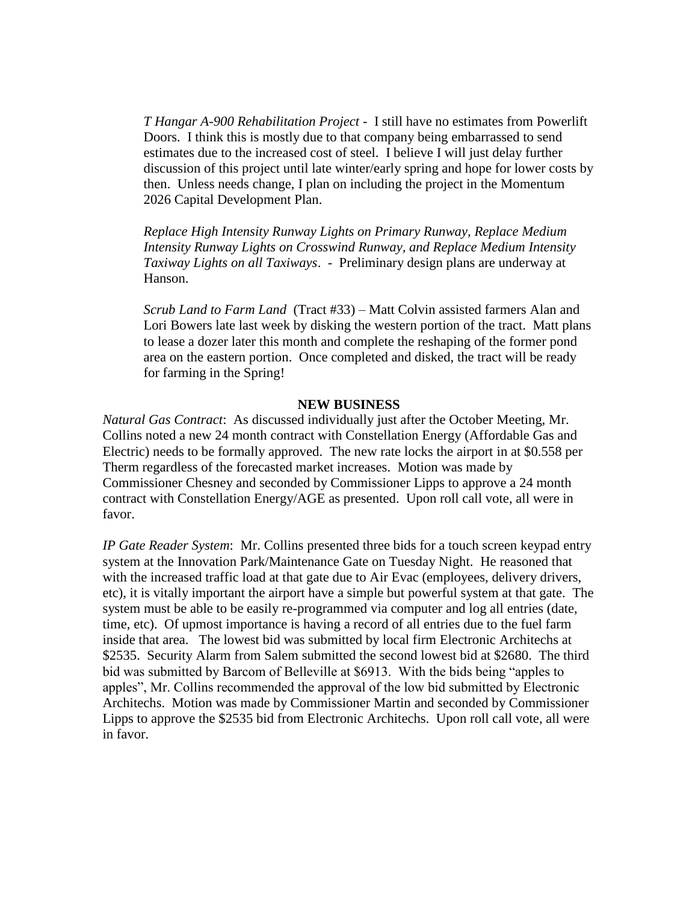*T Hangar A-900 Rehabilitation Project* - I still have no estimates from Powerlift Doors. I think this is mostly due to that company being embarrassed to send estimates due to the increased cost of steel. I believe I will just delay further discussion of this project until late winter/early spring and hope for lower costs by then. Unless needs change, I plan on including the project in the Momentum 2026 Capital Development Plan.

*Replace High Intensity Runway Lights on Primary Runway, Replace Medium Intensity Runway Lights on Crosswind Runway, and Replace Medium Intensity Taxiway Lights on all Taxiways*. - Preliminary design plans are underway at Hanson.

*Scrub Land to Farm Land* (Tract #33) – Matt Colvin assisted farmers Alan and Lori Bowers late last week by disking the western portion of the tract. Matt plans to lease a dozer later this month and complete the reshaping of the former pond area on the eastern portion. Once completed and disked, the tract will be ready for farming in the Spring!

#### **NEW BUSINESS**

*Natural Gas Contract*: As discussed individually just after the October Meeting, Mr. Collins noted a new 24 month contract with Constellation Energy (Affordable Gas and Electric) needs to be formally approved. The new rate locks the airport in at \$0.558 per Therm regardless of the forecasted market increases. Motion was made by Commissioner Chesney and seconded by Commissioner Lipps to approve a 24 month contract with Constellation Energy/AGE as presented. Upon roll call vote, all were in favor.

*IP Gate Reader System*: Mr. Collins presented three bids for a touch screen keypad entry system at the Innovation Park/Maintenance Gate on Tuesday Night. He reasoned that with the increased traffic load at that gate due to Air Evac (employees, delivery drivers, etc), it is vitally important the airport have a simple but powerful system at that gate. The system must be able to be easily re-programmed via computer and log all entries (date, time, etc). Of upmost importance is having a record of all entries due to the fuel farm inside that area. The lowest bid was submitted by local firm Electronic Architechs at \$2535. Security Alarm from Salem submitted the second lowest bid at \$2680. The third bid was submitted by Barcom of Belleville at \$6913. With the bids being "apples to apples", Mr. Collins recommended the approval of the low bid submitted by Electronic Architechs. Motion was made by Commissioner Martin and seconded by Commissioner Lipps to approve the \$2535 bid from Electronic Architechs. Upon roll call vote, all were in favor.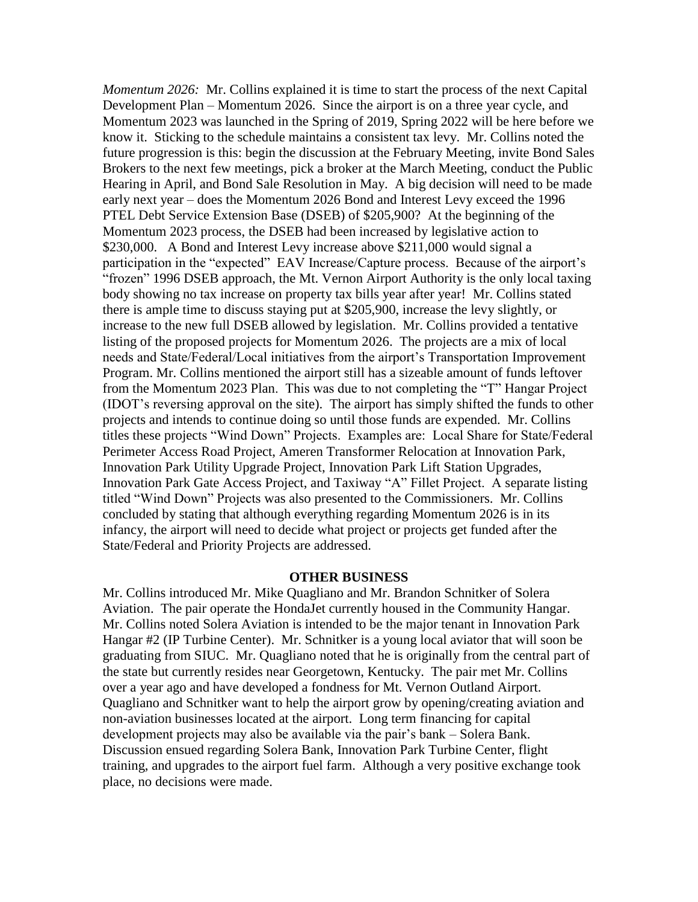*Momentum 2026:* Mr. Collins explained it is time to start the process of the next Capital Development Plan – Momentum 2026. Since the airport is on a three year cycle, and Momentum 2023 was launched in the Spring of 2019, Spring 2022 will be here before we know it. Sticking to the schedule maintains a consistent tax levy. Mr. Collins noted the future progression is this: begin the discussion at the February Meeting, invite Bond Sales Brokers to the next few meetings, pick a broker at the March Meeting, conduct the Public Hearing in April, and Bond Sale Resolution in May. A big decision will need to be made early next year – does the Momentum 2026 Bond and Interest Levy exceed the 1996 PTEL Debt Service Extension Base (DSEB) of \$205,900? At the beginning of the Momentum 2023 process, the DSEB had been increased by legislative action to \$230,000. A Bond and Interest Levy increase above \$211,000 would signal a participation in the "expected" EAV Increase/Capture process. Because of the airport's "frozen" 1996 DSEB approach, the Mt. Vernon Airport Authority is the only local taxing body showing no tax increase on property tax bills year after year! Mr. Collins stated there is ample time to discuss staying put at \$205,900, increase the levy slightly, or increase to the new full DSEB allowed by legislation. Mr. Collins provided a tentative listing of the proposed projects for Momentum 2026. The projects are a mix of local needs and State/Federal/Local initiatives from the airport's Transportation Improvement Program. Mr. Collins mentioned the airport still has a sizeable amount of funds leftover from the Momentum 2023 Plan. This was due to not completing the "T" Hangar Project (IDOT's reversing approval on the site). The airport has simply shifted the funds to other projects and intends to continue doing so until those funds are expended. Mr. Collins titles these projects "Wind Down" Projects. Examples are: Local Share for State/Federal Perimeter Access Road Project, Ameren Transformer Relocation at Innovation Park, Innovation Park Utility Upgrade Project, Innovation Park Lift Station Upgrades, Innovation Park Gate Access Project, and Taxiway "A" Fillet Project. A separate listing titled "Wind Down" Projects was also presented to the Commissioners. Mr. Collins concluded by stating that although everything regarding Momentum 2026 is in its infancy, the airport will need to decide what project or projects get funded after the State/Federal and Priority Projects are addressed.

#### **OTHER BUSINESS**

Mr. Collins introduced Mr. Mike Quagliano and Mr. Brandon Schnitker of Solera Aviation. The pair operate the HondaJet currently housed in the Community Hangar. Mr. Collins noted Solera Aviation is intended to be the major tenant in Innovation Park Hangar #2 (IP Turbine Center). Mr. Schnitker is a young local aviator that will soon be graduating from SIUC. Mr. Quagliano noted that he is originally from the central part of the state but currently resides near Georgetown, Kentucky. The pair met Mr. Collins over a year ago and have developed a fondness for Mt. Vernon Outland Airport. Quagliano and Schnitker want to help the airport grow by opening/creating aviation and non-aviation businesses located at the airport. Long term financing for capital development projects may also be available via the pair's bank – Solera Bank. Discussion ensued regarding Solera Bank, Innovation Park Turbine Center, flight training, and upgrades to the airport fuel farm. Although a very positive exchange took place, no decisions were made.